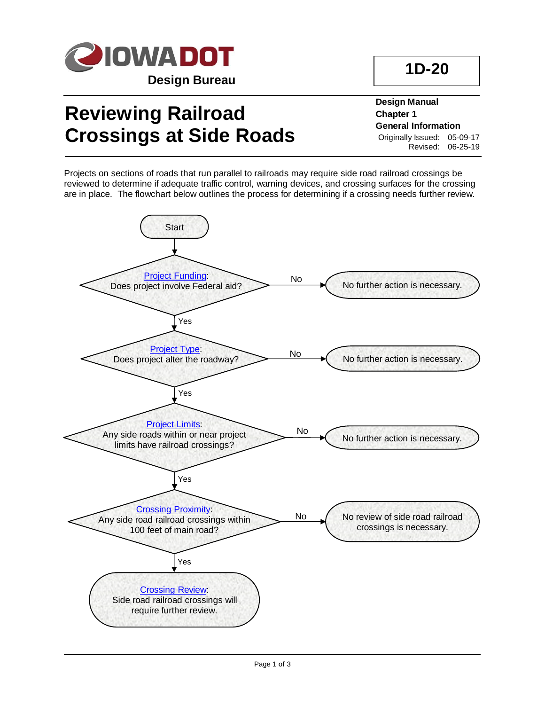

# **Reviewing Railroad Crossings at Side Roads**

**Design Manual Chapter 1 General Information** Originally Issued: 05-09-17 Revised: 06-25-19

Projects on sections of roads that run parallel to railroads may require side road railroad crossings be reviewed to determine if adequate traffic control, warning devices, and crossing surfaces for the crossing are in place. The flowchart below outlines the process for determining if a crossing needs further review.



**1D-20**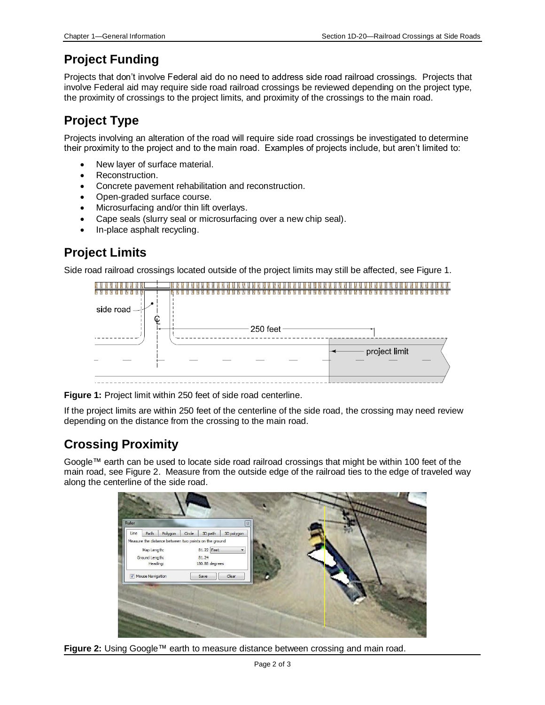#### <span id="page-1-1"></span>**Project Funding**

Projects that don't involve Federal aid do no need to address side road railroad crossings. Projects that involve Federal aid may require side road railroad crossings be reviewed depending on the project type, the proximity of crossings to the project limits, and proximity of the crossings to the main road.

### <span id="page-1-2"></span>**Project Type**

Projects involving an alteration of the road will require side road crossings be investigated to determine their proximity to the project and to the main road. Examples of projects include, but aren't limited to:

- New layer of surface material.
- Reconstruction.
- Concrete pavement rehabilitation and reconstruction.
- Open-graded surface course.
- Microsurfacing and/or thin lift overlays.
- Cape seals (slurry seal or microsurfacing over a new chip seal).
- In-place asphalt recycling.

#### <span id="page-1-0"></span>**Project Limits**

Side road railroad crossings located outside of the project limits may still be affected, see Figure 1.



**Figure 1:** Project limit within 250 feet of side road centerline.

If the project limits are within 250 feet of the centerline of the side road, the crossing may need review depending on the distance from the crossing to the main road.

### <span id="page-1-3"></span>**Crossing Proximity**

Google™ earth can be used to locate side road railroad crossings that might be within 100 feet of the main road, see Figure 2. Measure from the outside edge of the railroad ties to the edge of traveled way along the centerline of the side road.



**Figure 2:** Using Google™ earth to measure distance between crossing and main road.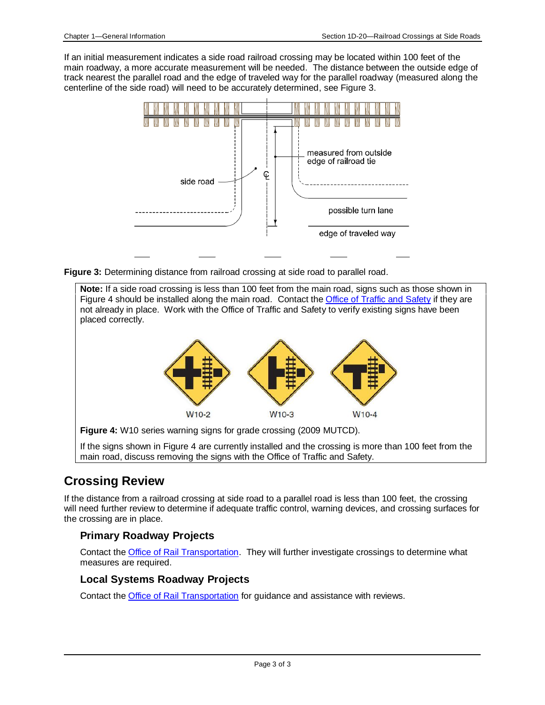If an initial measurement indicates a side road railroad crossing may be located within 100 feet of the main roadway, a more accurate measurement will be needed. The distance between the outside edge of track nearest the parallel road and the edge of traveled way for the parallel roadway (measured along the centerline of the side road) will need to be accurately determined, see Figure 3.



**Figure 3:** Determining distance from railroad crossing at side road to parallel road.

**Note:** If a side road crossing is less than 100 feet from the main road, signs such as those shown in Figure 4 should be installed along the main road. Contact th[e Office of Traffic and Safety](../../traffic/Contacts-and-location/Contact-Information) if they are not already in place. Work with the Office of Traffic and Safety to verify existing signs have been placed correctly.



**Figure 4:** W10 series warning signs for grade crossing (2009 MUTCD).

If the signs shown in Figure 4 are currently installed and the crossing is more than 100 feet from the main road, discuss removing the signs with the Office of Traffic and Safety.

#### <span id="page-2-0"></span>**Crossing Review**

If the distance from a railroad crossing at side road to a parallel road is less than 100 feet, the crossing will need further review to determine if adequate traffic control, warning devices, and crossing surfaces for the crossing are in place.

#### **Primary Roadway Projects**

Contact the [Office of Rail Transportation.](../../iowarail/About-Us/Contact-us) They will further investigate crossings to determine what measures are required.

#### **Local Systems Roadway Projects**

Contact the **Office of Rail Transportation** for guidance and assistance with reviews.